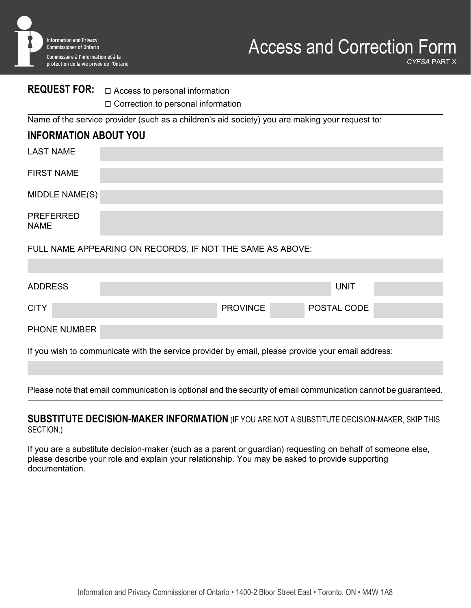

## **REQUEST FOR:** □ Access to personal information

□ Correction to personal information

Name of the service provider (such as a children's aid society) you are making your request to:

### **INFORMATION ABOUT YOU**

| <b>LAST NAME</b>                |                                                           |
|---------------------------------|-----------------------------------------------------------|
| <b>FIRST NAME</b>               |                                                           |
| MIDDLE NAME(S)                  |                                                           |
| <b>PREFERRED</b><br><b>NAME</b> |                                                           |
|                                 | FULL NAME APPEARING ON RECORDS, IF NOT THE SAME AS ABOVE: |

| <b>ADDRESS</b>                                                                                    |  |  |                 |             | <b>UNIT</b> |  |  |
|---------------------------------------------------------------------------------------------------|--|--|-----------------|-------------|-------------|--|--|
| <b>CITY</b>                                                                                       |  |  | <b>PROVINCE</b> | POSTAL CODE |             |  |  |
| PHONE NUMBER                                                                                      |  |  |                 |             |             |  |  |
| If you wish to communicate with the service provider by email, please provide your email address: |  |  |                 |             |             |  |  |

Please note that email communication is optional and the security of email communication cannot be guaranteed.

### **SUBSTITUTE DECISION-MAKER INFORMATION** (IF YOU ARE NOT A SUBSTITUTE DECISION-MAKER, SKIP THIS SECTION.)

If you are a substitute decision-maker (such as a parent or guardian) requesting on behalf of someone else, please describe your role and explain your relationship. You may be asked to provide supporting documentation.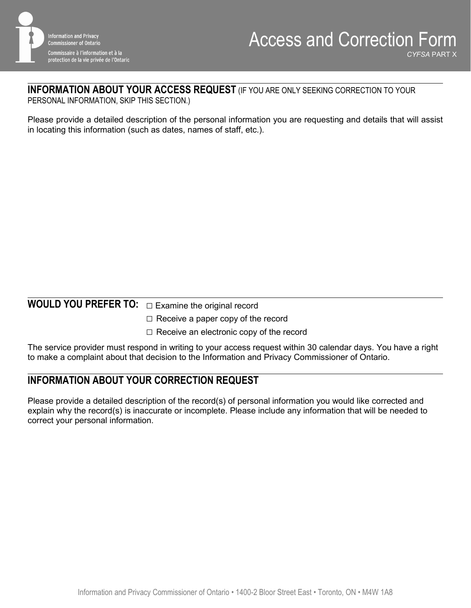

# **INFORMATION ABOUT YOUR ACCESS REQUEST** (IF YOU ARE ONLY SEEKING CORRECTION TO YOUR

PERSONAL INFORMATION, SKIP THIS SECTION.)

Please provide a detailed description of the personal information you are requesting and details that will assist in locating this information (such as dates, names of staff, etc.).

# **WOULD YOU PREFER TO:** □ Examine the original record

- $\square$  Receive a paper copy of the record
- $\Box$  Receive an electronic copy of the record

The service provider must respond in writing to your access request within 30 calendar days. You have a right to make a complaint about that decision to the Information and Privacy Commissioner of Ontario.

## **INFORMATION ABOUT YOUR CORRECTION REQUEST**

Please provide a detailed description of the record(s) of personal information you would like corrected and explain why the record(s) is inaccurate or incomplete. Please include any information that will be needed to correct your personal information.